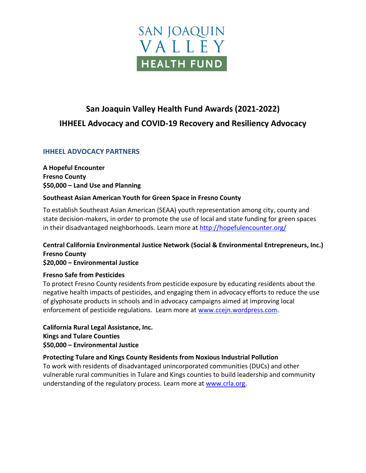

# **San Joaquin Valley Health Fund Awards (2021-2022) IHHEEL Advocacy and COVID-19 Recovery and Resiliency Advocacy**

# **IHHEEL ADVOCACY PARTNERS**

**A Hopeful Encounter Fresno County \$50,000 – Land Use and Planning**

#### **Southeast Asian American Youth for Green Space in Fresno County**

To establish Southeast Asian American (SEAA) youth representation among city, county and state decision-makers, in order to promote the use of local and state funding for green spaces in their disadvantaged neighborhoods. Learn more at<http://hopefulencounter.org/>

# **Central California Environmental Justice Network (Social & Environmental Entrepreneurs, Inc.) Fresno County**

**\$20,000 – Environmental Justice**

# **Fresno Safe from Pesticides**

To protect Fresno County residents from pesticide exposure by educating residents about the negative health impacts of pesticides, and engaging them in advocacy efforts to reduce the use of glyphosate products in schools and in advocacy campaigns aimed at improving local enforcement of pesticide regulations. Learn more at [www.ccejn.wordpress.com.](http://www.ccejn.wordpress.com/)

**California Rural Legal Assistance, Inc. Kings and Tulare Counties \$50,000 – Environmental Justice**

# **Protecting Tulare and Kings County Residents from Noxious Industrial Pollution**

To work with residents of disadvantaged unincorporated communities (DUCs) and other vulnerable rural communities in Tulare and Kings counties to build leadership and community understanding of the regulatory process. Learn more at [www.crla.org.](http://www.crla.org/)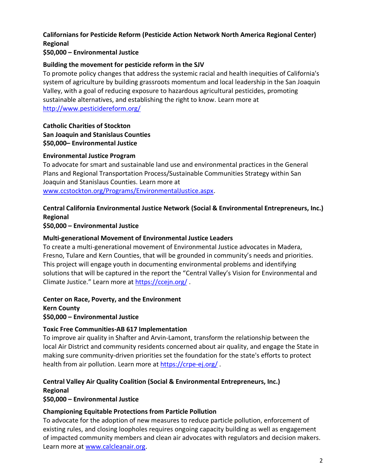# **Californians for Pesticide Reform (Pesticide Action Network North America Regional Center) Regional**

# **\$50,000 – Environmental Justice**

# **Building the movement for pesticide reform in the SJV**

To promote policy changes that address the systemic racial and health inequities of California's system of agriculture by building grassroots momentum and local leadership in the San Joaquin Valley, with a goal of reducing exposure to hazardous agricultural pesticides, promoting sustainable alternatives, and establishing the right to know. Learn more at <http://www.pesticidereform.org/>

# **Catholic Charities of Stockton San Joaquin and Stanislaus Counties \$50,000– Environmental Justice**

#### **Environmental Justice Program**

To advocate for smart and sustainable land use and environmental practices in the General Plans and Regional Transportation Process/Sustainable Communities Strategy within San Joaquin and Stanislaus Counties. Learn more at [www.ccstockton.org/Programs/EnvironmentalJustice.aspx.](http://www.ccstockton.org/Programs/EnvironmentalJustice.aspx)

# **Central California Environmental Justice Network (Social & Environmental Entrepreneurs, Inc.) Regional**

**\$50,000 – Environmental Justice**

# **Multi-generational Movement of Environmental Justice Leaders**

To create a multi-generational movement of Environmental Justice advocates in Madera, Fresno, Tulare and Kern Counties, that will be grounded in community's needs and priorities. This project will engage youth in documenting environmental problems and identifying solutions that will be captured in the report the "Central Valley's Vision for Environmental and Climate Justice." Learn more at<https://ccejn.org/> .

**Center on Race, Poverty, and the Environment** 

**Kern County \$50,000 – Environmental Justice**

# **Toxic Free Communities-AB 617 Implementation**

To improve air quality in Shafter and Arvin-Lamont, transform the relationship between the local Air District and community residents concerned about air quality, and engage the State in making sure community-driven priorities set the foundation for the state's efforts to protect health from air pollution. Learn more at<https://crpe-ej.org/>.

# **Central Valley Air Quality Coalition (Social & Environmental Entrepreneurs, Inc.) Regional**

**\$50,000 – Environmental Justice**

# **Championing Equitable Protections from Particle Pollution**

To advocate for the adoption of new measures to reduce particle pollution, enforcement of existing rules, and closing loopholes requires ongoing capacity building as well as engagement of impacted community members and clean air advocates with regulators and decision makers. Learn more at [www.calcleanair.org.](http://www.calcleanair.org/)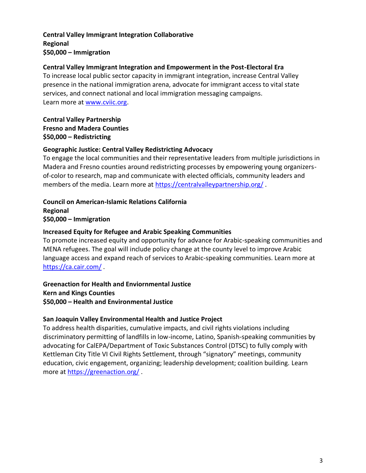# **Central Valley Immigrant Integration Collaborative Regional \$50,000 – Immigration**

#### **Central Valley Immigrant Integration and Empowerment in the Post-Electoral Era**

To increase local public sector capacity in immigrant integration, increase Central Valley presence in the national immigration arena, advocate for immigrant access to vital state services, and connect national and local immigration messaging campaigns. Learn more at [www.cviic.org.](http://www.cviic.org/)

# **Central Valley Partnership Fresno and Madera Counties \$50,000 – Redistricting**

#### **Geographic Justice: Central Valley Redistricting Advocacy**

To engage the local communities and their representative leaders from multiple jurisdictions in Madera and Fresno counties around redistricting processes by empowering young organizersof-color to research, map and communicate with elected officials, community leaders and members of the media. Learn more at<https://centralvalleypartnership.org/> .

**Council on American-Islamic Relations California Regional \$50,000 – Immigration**

#### **Increased Equity for Refugee and Arabic Speaking Communities**

To promote increased equity and opportunity for advance for Arabic-speaking communities and MENA refugees. The goal will include policy change at the county level to improve Arabic language access and expand reach of services to Arabic-speaking communities. Learn more at <https://ca.cair.com/> .

#### **Greenaction for Health and Enviornmental Justice Kern and Kings Counties \$50,000 – Health and Environmental Justice**

#### **San Joaquin Valley Environmental Health and Justice Project**

To address health disparities, cumulative impacts, and civil rights violations including discriminatory permitting of landfills in low-income, Latino, Spanish-speaking communities by advocating for CalEPA/Department of Toxic Substances Control (DTSC) to fully comply with Kettleman City Title VI Civil Rights Settlement, through "signatory" meetings, community education, civic engagement, organizing; leadership development; coalition building. Learn more at<https://greenaction.org/> .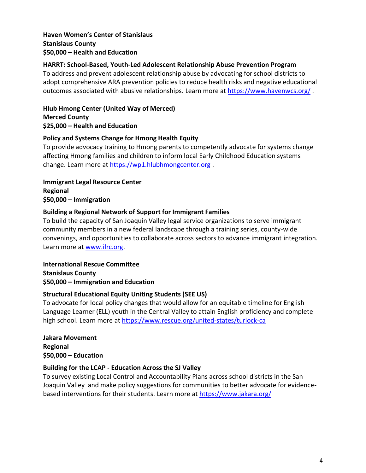# **Haven Women's Center of Stanislaus Stanislaus County \$50,000 – Health and Education**

# **HARRT: School-Based, Youth-Led Adolescent Relationship Abuse Prevention Program**

To address and prevent adolescent relationship abuse by advocating for school districts to adopt comprehensive ARA prevention policies to reduce health risks and negative educational outcomes associated with abusive relationships. Learn more at<https://www.havenwcs.org/> .

**Hlub Hmong Center (United Way of Merced) Merced County \$25,000 – Health and Education**

#### **Policy and Systems Change for Hmong Health Equity**

To provide advocacy training to Hmong parents to competently advocate for systems change affecting Hmong families and children to inform local Early Childhood Education systems change. Learn more at [https://wp1.hlubhmongcenter.org](https://wp1.hlubhmongcenter.org/) .

**Immigrant Legal Resource Center Regional \$50,000 – Immigration**

# **Building a Regional Network of Support for Immigrant Families**

To build the capacity of San Joaquin Valley legal service organizations to serve immigrant community members in a new federal landscape through a training series, county-wide convenings, and opportunities to collaborate across sectors to advance immigrant integration. Learn more at [www.ilrc.org.](http://www.ilrc.org/)

**International Rescue Committee Stanislaus County \$50,000 – Immigration and Education**

# **Structural Educational Equity Uniting Students (SEE US)**

To advocate for local policy changes that would allow for an equitable timeline for English Language Learner (ELL) youth in the Central Valley to attain English proficiency and complete high school. Learn more at <https://www.rescue.org/united-states/turlock-ca>

**Jakara Movement Regional \$50,000 – Education**

# **Building for the LCAP - Education Across the SJ Valley**

To survey existing Local Control and Accountability Plans across school districts in the San Joaquin Valley and make policy suggestions for communities to better advocate for evidencebased interventions for their students. Learn more at<https://www.jakara.org/>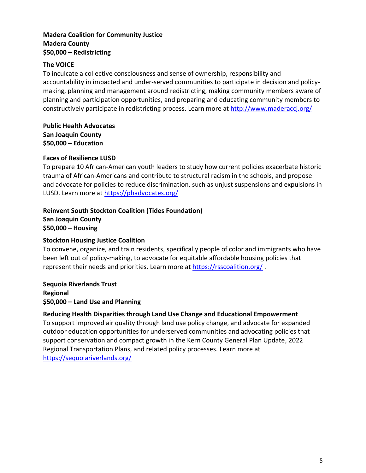# **Madera Coalition for Community Justice Madera County \$50,000 – Redistricting**

# **The VOICE**

To inculcate a collective consciousness and sense of ownership, responsibility and accountability in impacted and under-served communities to participate in decision and policymaking, planning and management around redistricting, making community members aware of planning and participation opportunities, and preparing and educating community members to constructively participate in redistricting process. Learn more at<http://www.maderaccj.org/>

**Public Health Advocates San Joaquin County \$50,000 – Education**

#### **Faces of Resilience LUSD**

To prepare 10 African-American youth leaders to study how current policies exacerbate historic trauma of African-Americans and contribute to structural racism in the schools, and propose and advocate for policies to reduce discrimination, such as unjust suspensions and expulsions in LUSD. Learn more at<https://phadvocates.org/>

# **Reinvent South Stockton Coalition (Tides Foundation) San Joaquin County \$50,000 – Housing**

#### **Stockton Housing Justice Coalition**

To convene, organize, and train residents, specifically people of color and immigrants who have been left out of policy-making, to advocate for equitable affordable housing policies that represent their needs and priorities. Learn more at<https://rsscoalition.org/>.

#### **Sequoia Riverlands Trust Regional \$50,000 – Land Use and Planning**

# **Reducing Health Disparities through Land Use Change and Educational Empowerment**

To support improved air quality through land use policy change, and advocate for expanded outdoor education opportunities for underserved communities and advocating policies that support conservation and compact growth in the Kern County General Plan Update, 2022 Regional Transportation Plans, and related policy processes. Learn more at <https://sequoiariverlands.org/>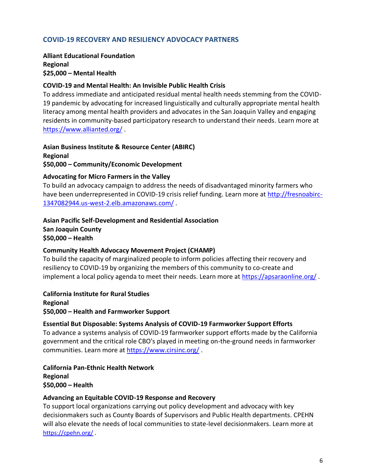# **COVID-19 RECOVERY AND RESILIENCY ADVOCACY PARTNERS**

**Alliant Educational Foundation Regional \$25,000 – Mental Health**

#### **COVID-19 and Mental Health: An Invisible Public Health Crisis**

To address immediate and anticipated residual mental health needs stemming from the COVID-19 pandemic by advocating for increased linguistically and culturally appropriate mental health literacy among mental health providers and advocates in the San Joaquin Valley and engaging residents in community-based participatory research to understand their needs. Learn more at <https://www.allianted.org/> .

**Asian Business Institute & Resource Center (ABIRC) Regional \$50,000 – Community/Economic Development**

#### **Advocating for Micro Farmers in the Valley**

To build an advocacy campaign to address the needs of disadvantaged minority farmers who have been underrepresented in COVID-19 crisis relief funding. Learn more at [http://fresnoabirc-](http://fresnoabirc-1347082944.us-west-2.elb.amazonaws.com/)[1347082944.us-west-2.elb.amazonaws.com/](http://fresnoabirc-1347082944.us-west-2.elb.amazonaws.com/) .

#### **Asian Pacific Self-Development and Residential Association San Joaquin County \$50,000 – Health**

#### **Community Health Advocacy Movement Project (CHAMP)**

To build the capacity of marginalized people to inform policies affecting their recovery and resiliency to COVID-19 by organizing the members of this community to co-create and implement a local policy agenda to meet their needs. Learn more at<https://apsaraonline.org/>.

**California Institute for Rural Studies Regional \$50,000 – Health and Farmworker Support**

# **Essential But Disposable: Systems Analysis of COVID-19 Farmworker Support Efforts**

To advance a systems analysis of COVID-19 farmworker support efforts made by the California government and the critical role CBO's played in meeting on-the-ground needs in farmworker communities. Learn more at<https://www.cirsinc.org/>.

**California Pan-Ethnic Health Network Regional \$50,000 – Health**

#### **Advancing an Equitable COVID-19 Response and Recovery**

To support local organizations carrying out policy development and advocacy with key decisionmakers such as County Boards of Supervisors and Public Health departments. CPEHN will also elevate the needs of local communities to state-level decisionmakers. Learn more at <https://cpehn.org/> .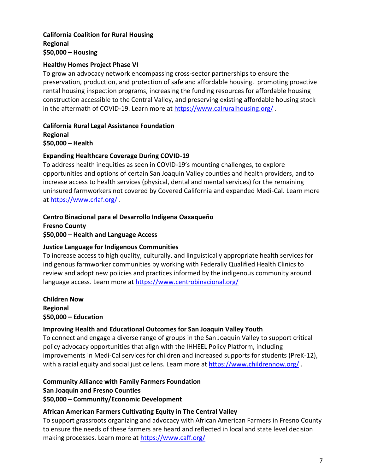# **California Coalition for Rural Housing Regional \$50,000 – Housing**

# **Healthy Homes Project Phase VI**

To grow an advocacy network encompassing cross-sector partnerships to ensure the preservation, production, and protection of safe and affordable housing. promoting proactive rental housing inspection programs, increasing the funding resources for affordable housing construction accessible to the Central Valley, and preserving existing affordable housing stock in the aftermath of COVID-19. Learn more at<https://www.calruralhousing.org/>.

**California Rural Legal Assistance Foundation Regional \$50,000 – Health**

# **Expanding Healthcare Coverage During COVID-19**

To address health inequities as seen in COVID-19's mounting challenges, to explore opportunities and options of certain San Joaquin Valley counties and health providers, and to increase access to health services (physical, dental and mental services) for the remaining uninsured farmworkers not covered by Covered California and expanded Medi-Cal. Learn more at<https://www.crlaf.org/> .

# **Centro Binacional para el Desarrollo Indigena Oaxaqueño**

**Fresno County \$50,000 – Health and Language Access**

# **Justice Language for Indigenous Communities**

To increase access to high quality, culturally, and linguistically appropriate health services for indigenous farmworker communities by working with Federally Qualified Health Clinics to review and adopt new policies and practices informed by the indigenous community around language access. Learn more at<https://www.centrobinacional.org/>

**Children Now Regional \$50,000 – Education**

# **Improving Health and Educational Outcomes for San Joaquin Valley Youth**

To connect and engage a diverse range of groups in the San Joaquin Valley to support critical policy advocacy opportunities that align with the IHHEEL Policy Platform, including improvements in Medi-Cal services for children and increased supports for students (PreK-12), with a racial equity and social justice lens. Learn more at<https://www.childrennow.org/>.

# **Community Alliance with Family Farmers Foundation**

**San Joaquin and Fresno Counties**

# **\$50,000 – Community/Economic Development**

# **African American Farmers Cultivating Equity in The Central Valley**

To support grassroots organizing and advocacy with African American Farmers in Fresno County to ensure the needs of these farmers are heard and reflected in local and state level decision making processes. Learn more at<https://www.caff.org/>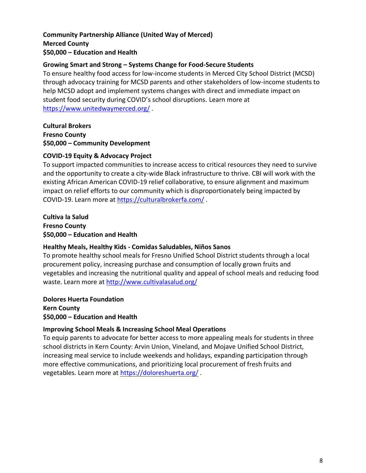# **Community Partnership Alliance (United Way of Merced) Merced County \$50,000 – Education and Health**

#### **Growing Smart and Strong – Systems Change for Food-Secure Students**

To ensure healthy food access for low-income students in Merced City School District (MCSD) through advocacy training for MCSD parents and other stakeholders of low-income students to help MCSD adopt and implement systems changes with direct and immediate impact on student food security during COVID's school disruptions. Learn more at <https://www.unitedwaymerced.org/> .

**Cultural Brokers Fresno County \$50,000 – Community Development**

#### **COVID-19 Equity & Advocacy Project**

To support impacted communities to increase access to critical resources they need to survive and the opportunity to create a city-wide Black infrastructure to thrive. CBI will work with the existing African American COVID-19 relief collaborative, to ensure alignment and maximum impact on relief efforts to our community which is disproportionately being impacted by COVID-19. Learn more at<https://culturalbrokerfa.com/> .

**Cultiva la Salud Fresno County \$50,000 – Education and Health**

#### **Healthy Meals, Healthy Kids - Comidas Saludables, Niños Sanos**

To promote healthy school meals for Fresno Unified School District students through a local procurement policy, increasing purchase and consumption of locally grown fruits and vegetables and increasing the nutritional quality and appeal of school meals and reducing food waste. Learn more at<http://www.cultivalasalud.org/>

**Dolores Huerta Foundation Kern County \$50,000 – Education and Health**

# **Improving School Meals & Increasing School Meal Operations**

To equip parents to advocate for better access to more appealing meals for students in three school districts in Kern County: Arvin Union, Vineland, and Mojave Unified School District, increasing meal service to include weekends and holidays, expanding participation through more effective communications, and prioritizing local procurement of fresh fruits and vegetables. Learn more at<https://doloreshuerta.org/> .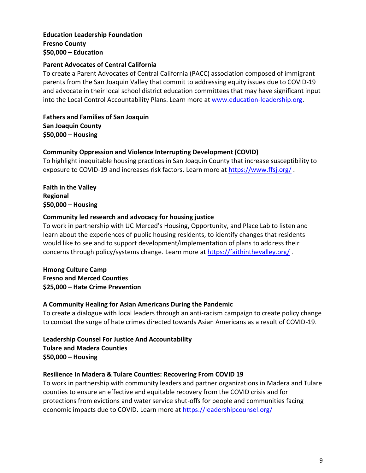#### **Education Leadership Foundation Fresno County \$50,000 – Education**

# **Parent Advocates of Central California**

To create a Parent Advocates of Central California (PACC) association composed of immigrant parents from the San Joaquin Valley that commit to addressing equity issues due to COVID-19 and advocate in their local school district education committees that may have significant input into the Local Control Accountability Plans. Learn more at [www.education-leadership.org.](http://www.education-leadership.org/)

**Fathers and Families of San Joaquin San Joaquin County \$50,000 – Housing**

# **Community Oppression and Violence Interrupting Development (COVID)**

To highlight inequitable housing practices in San Joaquin County that increase susceptibility to exposure to COVID-19 and increases risk factors. Learn more at<https://www.ffsj.org/> .

**Faith in the Valley Regional \$50,000 – Housing**

# **Community led research and advocacy for housing justice**

To work in partnership with UC Merced's Housing, Opportunity, and Place Lab to listen and learn about the experiences of public housing residents, to identify changes that residents would like to see and to support development/implementation of plans to address their concerns through policy/systems change. Learn more at <https://faithinthevalley.org/>.

**Hmong Culture Camp Fresno and Merced Counties \$25,000 – Hate Crime Prevention**

# **A Community Healing for Asian Americans During the Pandemic**

To create a dialogue with local leaders through an anti-racism campaign to create policy change to combat the surge of hate crimes directed towards Asian Americans as a result of COVID-19.

**Leadership Counsel For Justice And Accountability Tulare and Madera Counties \$50,000 – Housing**

# **Resilience In Madera & Tulare Counties: Recovering From COVID 19**

To work in partnership with community leaders and partner organizations in Madera and Tulare counties to ensure an effective and equitable recovery from the COVID crisis and for protections from evictions and water service shut-offs for people and communities facing economic impacts due to COVID. Learn more at<https://leadershipcounsel.org/>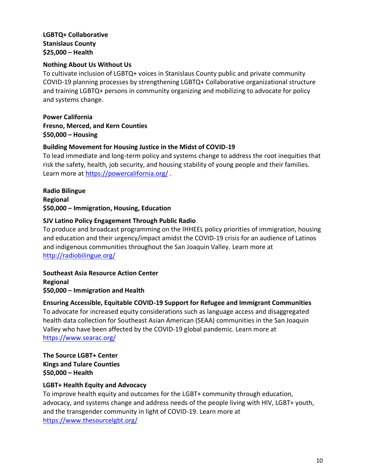## **LGBTQ+ Collaborative Stanislaus County \$25,000 – Health**

# **Nothing About Us Without Us**

To cultivate inclusion of LGBTQ+ voices in Stanislaus County public and private community COVID-19 planning processes by strengthening LGBTQ+ Collaborative organizational structure and training LGBTQ+ persons in community organizing and mobilizing to advocate for policy and systems change.

**Power California Fresno, Merced, and Kern Counties \$50,000 – Housing**

# **Building Movement for Housing Justice in the Midst of COVID-19**

To lead immediate and long-term policy and systems change to address the root inequities that risk the safety, health, job security, and housing stability of young people and their families. Learn more at<https://powercalifornia.org/> .

**Radio Bilingue Regional \$50,000 – Immigration, Housing, Education**

# **SJV Latino Policy Engagement Through Public Radio**

To produce and broadcast programming on the IHHEEL policy priorities of immigration, housing and education and their urgency/impact amidst the COVID-19 crisis for an audience of Latinos and indigenous communities throughout the San Joaquin Valley. Learn more at <http://radiobilingue.org/>

**Southeast Asia Resource Action Center Regional \$50,000 – Immigration and Health**

# **Ensuring Accessible, Equitable COVID-19 Support for Refugee and Immigrant Communities**

To advocate for increased equity considerations such as language access and disaggregated health data collection for Southeast Asian American (SEAA) communities in the San Joaquin Valley who have been affected by the COVID-19 global pandemic. Learn more at <https://www.searac.org/>

**The Source LGBT+ Center Kings and Tulare Counties \$50,000 – Health** 

#### **LGBT+ Health Equity and Advocacy**

To improve health equity and outcomes for the LGBT+ community through education, advocacy, and systems change and address needs of the people living with HIV, LGBT+ youth, and the transgender community in light of COVID-19. Learn more at <https://www.thesourcelgbt.org/>